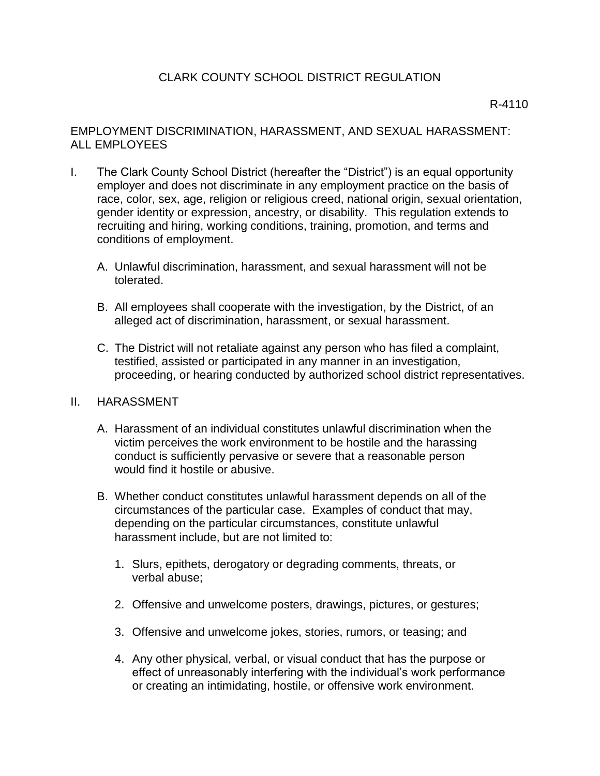# CLARK COUNTY SCHOOL DISTRICT REGULATION

### R-4110

# EMPLOYMENT DISCRIMINATION, HARASSMENT, AND SEXUAL HARASSMENT: ALL EMPLOYEES

- I. The Clark County School District (hereafter the "District") is an equal opportunity employer and does not discriminate in any employment practice on the basis of race, color, sex, age, religion or religious creed, national origin, sexual orientation, gender identity or expression, ancestry, or disability. This regulation extends to recruiting and hiring, working conditions, training, promotion, and terms and conditions of employment.
	- A. Unlawful discrimination, harassment, and sexual harassment will not be tolerated.
	- B. All employees shall cooperate with the investigation, by the District, of an alleged act of discrimination, harassment, or sexual harassment.
	- C. The District will not retaliate against any person who has filed a complaint, testified, assisted or participated in any manner in an investigation, proceeding, or hearing conducted by authorized school district representatives.

#### II. HARASSMENT

- A. Harassment of an individual constitutes unlawful discrimination when the victim perceives the work environment to be hostile and the harassing conduct is sufficiently pervasive or severe that a reasonable person would find it hostile or abusive.
- B. Whether conduct constitutes unlawful harassment depends on all of the circumstances of the particular case. Examples of conduct that may, depending on the particular circumstances, constitute unlawful harassment include, but are not limited to:
	- 1. Slurs, epithets, derogatory or degrading comments, threats, or verbal abuse;
	- 2. Offensive and unwelcome posters, drawings, pictures, or gestures;
	- 3. Offensive and unwelcome jokes, stories, rumors, or teasing; and
	- 4. Any other physical, verbal, or visual conduct that has the purpose or effect of unreasonably interfering with the individual's work performance or creating an intimidating, hostile, or offensive work environment.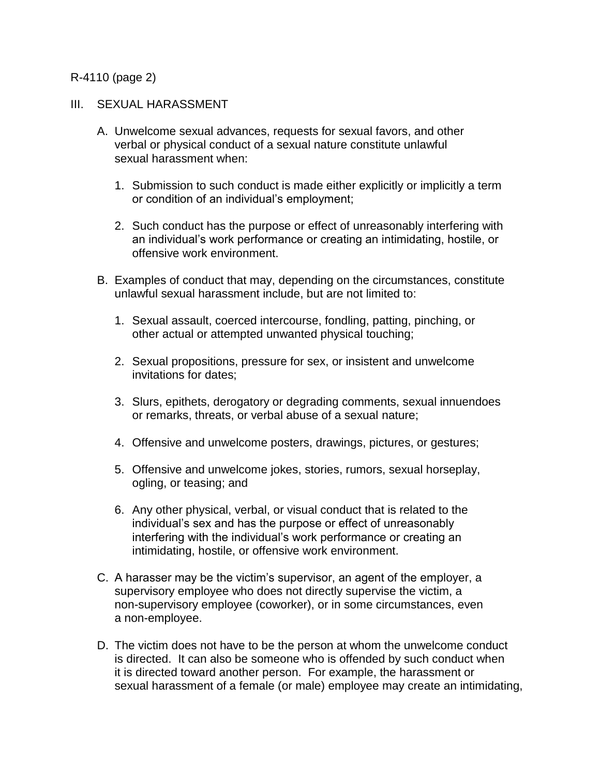### R-4110 (page 2)

#### III. SEXUAL HARASSMENT

- A. Unwelcome sexual advances, requests for sexual favors, and other verbal or physical conduct of a sexual nature constitute unlawful sexual harassment when:
	- 1. Submission to such conduct is made either explicitly or implicitly a term or condition of an individual's employment;
	- 2. Such conduct has the purpose or effect of unreasonably interfering with an individual's work performance or creating an intimidating, hostile, or offensive work environment.
- B. Examples of conduct that may, depending on the circumstances, constitute unlawful sexual harassment include, but are not limited to:
	- 1. Sexual assault, coerced intercourse, fondling, patting, pinching, or other actual or attempted unwanted physical touching;
	- 2. Sexual propositions, pressure for sex, or insistent and unwelcome invitations for dates;
	- 3. Slurs, epithets, derogatory or degrading comments, sexual innuendoes or remarks, threats, or verbal abuse of a sexual nature;
	- 4. Offensive and unwelcome posters, drawings, pictures, or gestures;
	- 5. Offensive and unwelcome jokes, stories, rumors, sexual horseplay, ogling, or teasing; and
	- 6. Any other physical, verbal, or visual conduct that is related to the individual's sex and has the purpose or effect of unreasonably interfering with the individual's work performance or creating an intimidating, hostile, or offensive work environment.
- C. A harasser may be the victim's supervisor, an agent of the employer, a supervisory employee who does not directly supervise the victim, a non-supervisory employee (coworker), or in some circumstances, even a non-employee.
- D. The victim does not have to be the person at whom the unwelcome conduct is directed. It can also be someone who is offended by such conduct when it is directed toward another person. For example, the harassment or sexual harassment of a female (or male) employee may create an intimidating,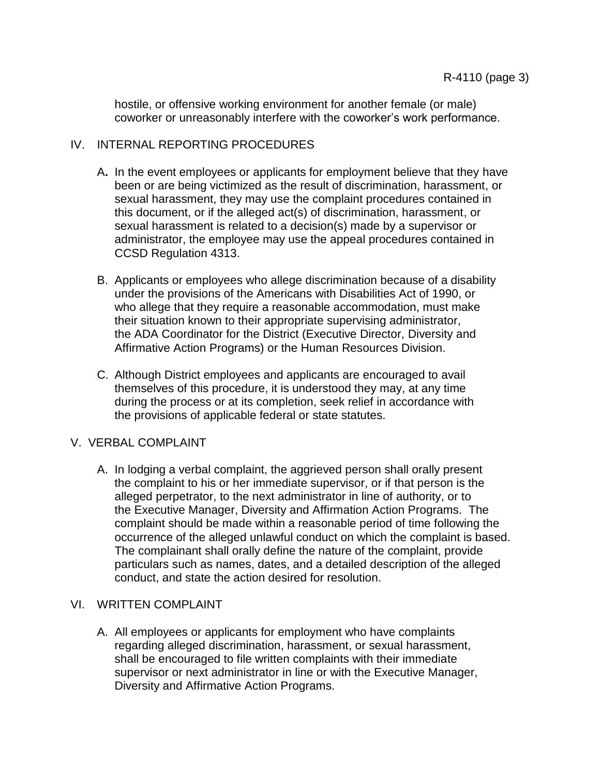hostile, or offensive working environment for another female (or male) coworker or unreasonably interfere with the coworker's work performance.

# IV. INTERNAL REPORTING PROCEDURES

- A**.** In the event employees or applicants for employment believe that they have been or are being victimized as the result of discrimination, harassment, or sexual harassment, they may use the complaint procedures contained in this document, or if the alleged act(s) of discrimination, harassment, or sexual harassment is related to a decision(s) made by a supervisor or administrator, the employee may use the appeal procedures contained in CCSD Regulation 4313.
- B. Applicants or employees who allege discrimination because of a disability under the provisions of the Americans with Disabilities Act of 1990, or who allege that they require a reasonable accommodation, must make their situation known to their appropriate supervising administrator, the ADA Coordinator for the District (Executive Director, Diversity and Affirmative Action Programs) or the Human Resources Division.
- C. Although District employees and applicants are encouraged to avail themselves of this procedure, it is understood they may, at any time during the process or at its completion, seek relief in accordance with the provisions of applicable federal or state statutes.

# V. VERBAL COMPLAINT

A. In lodging a verbal complaint, the aggrieved person shall orally present the complaint to his or her immediate supervisor, or if that person is the alleged perpetrator, to the next administrator in line of authority, or to the Executive Manager, Diversity and Affirmation Action Programs. The complaint should be made within a reasonable period of time following the occurrence of the alleged unlawful conduct on which the complaint is based. The complainant shall orally define the nature of the complaint, provide particulars such as names, dates, and a detailed description of the alleged conduct, and state the action desired for resolution.

# VI. WRITTEN COMPLAINT

A. All employees or applicants for employment who have complaints regarding alleged discrimination, harassment, or sexual harassment, shall be encouraged to file written complaints with their immediate supervisor or next administrator in line or with the Executive Manager, Diversity and Affirmative Action Programs.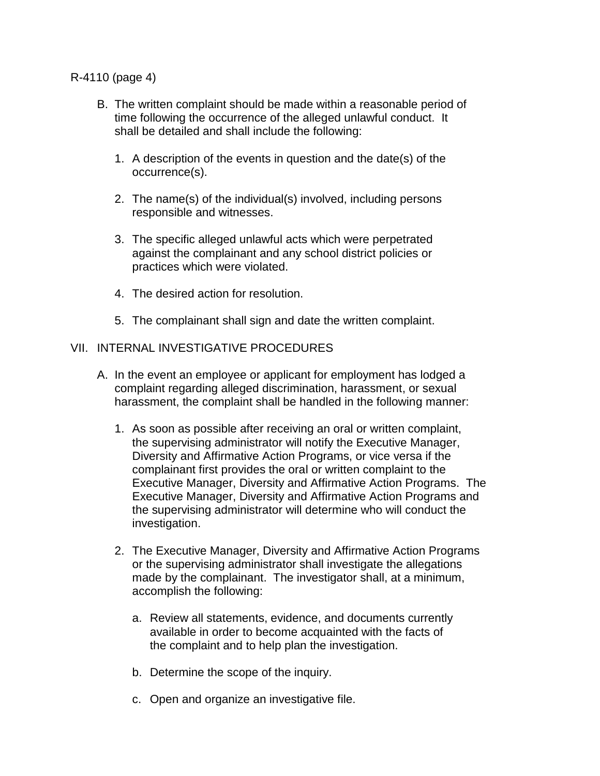### R-4110 (page 4)

- B. The written complaint should be made within a reasonable period of time following the occurrence of the alleged unlawful conduct. It shall be detailed and shall include the following:
	- 1. A description of the events in question and the date(s) of the occurrence(s).
	- 2. The name(s) of the individual(s) involved, including persons responsible and witnesses.
	- 3. The specific alleged unlawful acts which were perpetrated against the complainant and any school district policies or practices which were violated.
	- 4. The desired action for resolution.
	- 5. The complainant shall sign and date the written complaint.

# VII. INTERNAL INVESTIGATIVE PROCEDURES

- A. In the event an employee or applicant for employment has lodged a complaint regarding alleged discrimination, harassment, or sexual harassment, the complaint shall be handled in the following manner:
	- 1. As soon as possible after receiving an oral or written complaint, the supervising administrator will notify the Executive Manager, Diversity and Affirmative Action Programs, or vice versa if the complainant first provides the oral or written complaint to the Executive Manager, Diversity and Affirmative Action Programs. The Executive Manager, Diversity and Affirmative Action Programs and the supervising administrator will determine who will conduct the investigation.
	- 2. The Executive Manager, Diversity and Affirmative Action Programs or the supervising administrator shall investigate the allegations made by the complainant. The investigator shall, at a minimum, accomplish the following:
		- a. Review all statements, evidence, and documents currently available in order to become acquainted with the facts of the complaint and to help plan the investigation.
		- b. Determine the scope of the inquiry.
		- c. Open and organize an investigative file.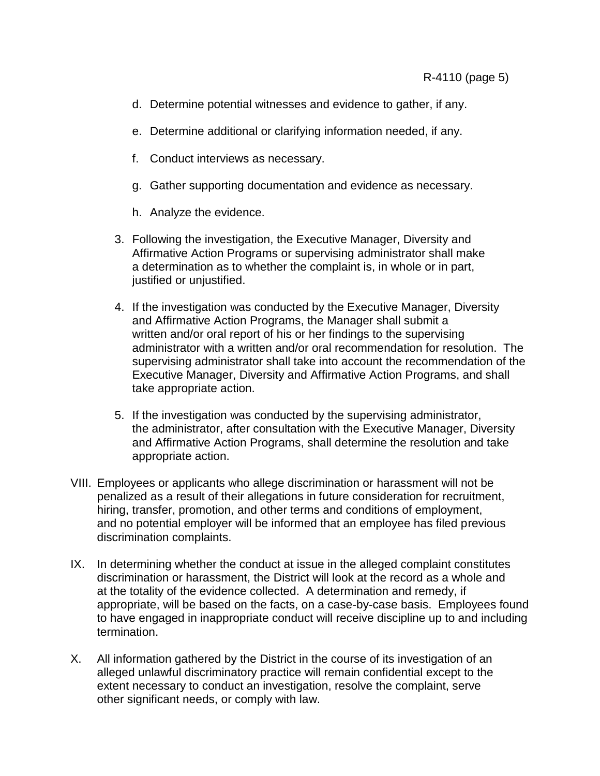- d. Determine potential witnesses and evidence to gather, if any.
- e. Determine additional or clarifying information needed, if any.
- f. Conduct interviews as necessary.
- g. Gather supporting documentation and evidence as necessary.
- h. Analyze the evidence.
- 3. Following the investigation, the Executive Manager, Diversity and Affirmative Action Programs or supervising administrator shall make a determination as to whether the complaint is, in whole or in part, justified or unjustified.
- 4. If the investigation was conducted by the Executive Manager, Diversity and Affirmative Action Programs, the Manager shall submit a written and/or oral report of his or her findings to the supervising administrator with a written and/or oral recommendation for resolution. The supervising administrator shall take into account the recommendation of the Executive Manager, Diversity and Affirmative Action Programs, and shall take appropriate action.
- 5. If the investigation was conducted by the supervising administrator, the administrator, after consultation with the Executive Manager, Diversity and Affirmative Action Programs, shall determine the resolution and take appropriate action.
- VIII. Employees or applicants who allege discrimination or harassment will not be penalized as a result of their allegations in future consideration for recruitment, hiring, transfer, promotion, and other terms and conditions of employment, and no potential employer will be informed that an employee has filed previous discrimination complaints.
- IX. In determining whether the conduct at issue in the alleged complaint constitutes discrimination or harassment, the District will look at the record as a whole and at the totality of the evidence collected. A determination and remedy, if appropriate, will be based on the facts, on a case-by-case basis. Employees found to have engaged in inappropriate conduct will receive discipline up to and including termination.
- X. All information gathered by the District in the course of its investigation of an alleged unlawful discriminatory practice will remain confidential except to the extent necessary to conduct an investigation, resolve the complaint, serve other significant needs, or comply with law.